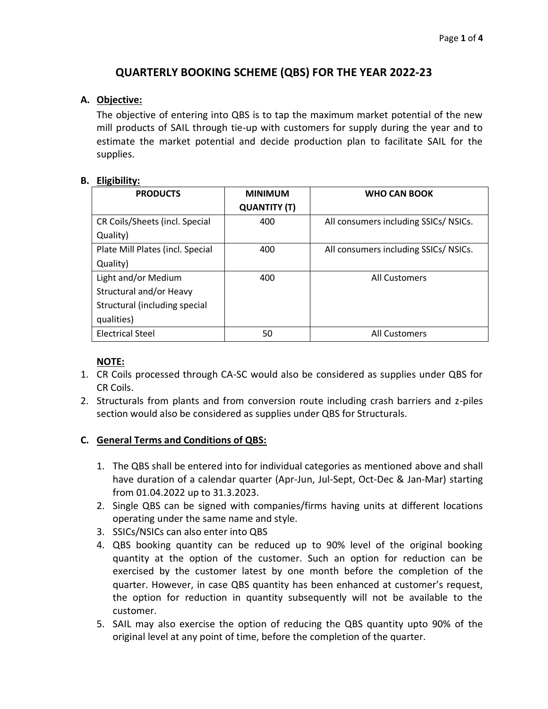# **QUARTERLY BOOKING SCHEME (QBS) FOR THE YEAR 2022-23**

### **A. Objective:**

The objective of entering into QBS is to tap the maximum market potential of the new mill products of SAIL through tie-up with customers for supply during the year and to estimate the market potential and decide production plan to facilitate SAIL for the supplies.

#### **B. Eligibility:**

| <b>PRODUCTS</b>                  | <b>MINIMUM</b>      | <b>WHO CAN BOOK</b>                  |  |
|----------------------------------|---------------------|--------------------------------------|--|
|                                  | <b>QUANTITY (T)</b> |                                      |  |
| CR Coils/Sheets (incl. Special   | 400                 | All consumers including SSICs/NSICs. |  |
| Quality)                         |                     |                                      |  |
| Plate Mill Plates (incl. Special | 400                 | All consumers including SSICs/NSICs. |  |
| Quality)                         |                     |                                      |  |
| Light and/or Medium              | 400                 | <b>All Customers</b>                 |  |
| Structural and/or Heavy          |                     |                                      |  |
| Structural (including special    |                     |                                      |  |
| qualities)                       |                     |                                      |  |
| Electrical Steel                 | 50                  | <b>All Customers</b>                 |  |

## **NOTE:**

- 1. CR Coils processed through CA-SC would also be considered as supplies under QBS for CR Coils.
- 2. Structurals from plants and from conversion route including crash barriers and z-piles section would also be considered as supplies under QBS for Structurals.

## **C. General Terms and Conditions of QBS:**

- 1. The QBS shall be entered into for individual categories as mentioned above and shall have duration of a calendar quarter (Apr-Jun, Jul-Sept, Oct-Dec & Jan-Mar) starting from 01.04.2022 up to 31.3.2023.
- 2. Single QBS can be signed with companies/firms having units at different locations operating under the same name and style.
- 3. SSICs/NSICs can also enter into QBS
- 4. QBS booking quantity can be reduced up to 90% level of the original booking quantity at the option of the customer. Such an option for reduction can be exercised by the customer latest by one month before the completion of the quarter. However, in case QBS quantity has been enhanced at customer's request, the option for reduction in quantity subsequently will not be available to the customer.
- 5. SAIL may also exercise the option of reducing the QBS quantity upto 90% of the original level at any point of time, before the completion of the quarter.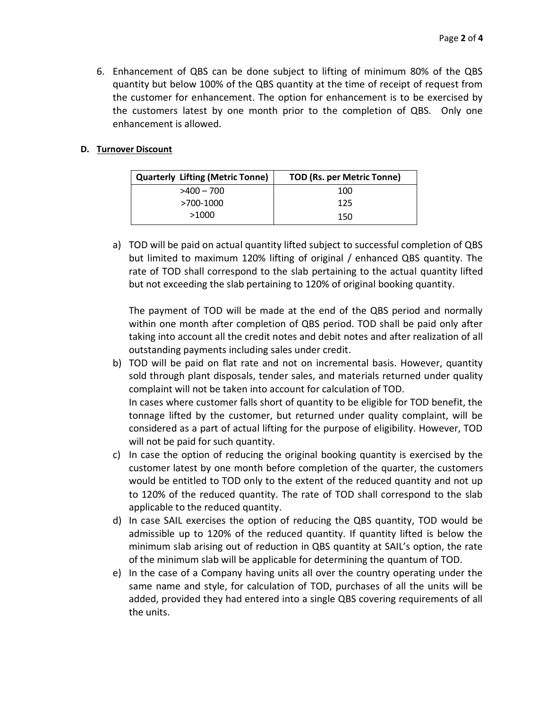6. Enhancement of QBS can be done subject to lifting of minimum 80% of the QBS quantity but below 100% of the QBS quantity at the time of receipt of request from the customer for enhancement. The option for enhancement is to be exercised by the customers latest by one month prior to the completion of QBS. Only one enhancement is allowed.

#### **D. Turnover Discount**

| <b>Quarterly Lifting (Metric Tonne)</b> | <b>TOD (Rs. per Metric Tonne)</b> |  |  |
|-----------------------------------------|-----------------------------------|--|--|
| $>400 - 700$                            | 100                               |  |  |
| >700-1000                               | 125                               |  |  |
| >1000                                   | 150                               |  |  |

a) TOD will be paid on actual quantity lifted subject to successful completion of QBS but limited to maximum 120% lifting of original / enhanced QBS quantity. The rate of TOD shall correspond to the slab pertaining to the actual quantity lifted but not exceeding the slab pertaining to 120% of original booking quantity.

The payment of TOD will be made at the end of the QBS period and normally within one month after completion of QBS period. TOD shall be paid only after taking into account all the credit notes and debit notes and after realization of all outstanding payments including sales under credit.

- b) TOD will be paid on flat rate and not on incremental basis. However, quantity sold through plant disposals, tender sales, and materials returned under quality complaint will not be taken into account for calculation of TOD. In cases where customer falls short of quantity to be eligible for TOD benefit, the tonnage lifted by the customer, but returned under quality complaint, will be considered as a part of actual lifting for the purpose of eligibility. However, TOD will not be paid for such quantity.
- c) In case the option of reducing the original booking quantity is exercised by the customer latest by one month before completion of the quarter, the customers would be entitled to TOD only to the extent of the reduced quantity and not up to 120% of the reduced quantity. The rate of TOD shall correspond to the slab applicable to the reduced quantity.
- d) In case SAIL exercises the option of reducing the QBS quantity, TOD would be admissible up to 120% of the reduced quantity. If quantity lifted is below the minimum slab arising out of reduction in QBS quantity at SAIL's option, the rate of the minimum slab will be applicable for determining the quantum of TOD.
- e) In the case of a Company having units all over the country operating under the same name and style, for calculation of TOD, purchases of all the units will be added, provided they had entered into a single QBS covering requirements of all the units.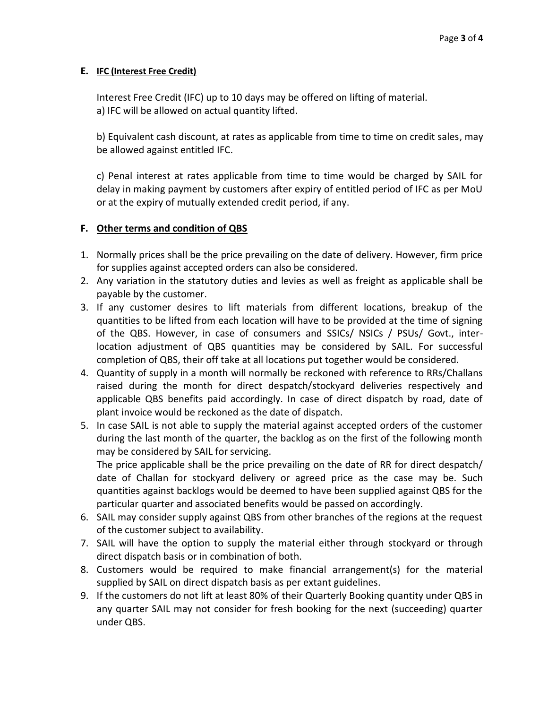### **E. IFC (Interest Free Credit)**

Interest Free Credit (IFC) up to 10 days may be offered on lifting of material. a) IFC will be allowed on actual quantity lifted.

b) Equivalent cash discount, at rates as applicable from time to time on credit sales, may be allowed against entitled IFC.

c) Penal interest at rates applicable from time to time would be charged by SAIL for delay in making payment by customers after expiry of entitled period of IFC as per MoU or at the expiry of mutually extended credit period, if any.

### **F. Other terms and condition of QBS**

- 1. Normally prices shall be the price prevailing on the date of delivery. However, firm price for supplies against accepted orders can also be considered.
- 2. Any variation in the statutory duties and levies as well as freight as applicable shall be payable by the customer.
- 3. If any customer desires to lift materials from different locations, breakup of the quantities to be lifted from each location will have to be provided at the time of signing of the QBS. However, in case of consumers and SSICs/ NSICs / PSUs/ Govt., interlocation adjustment of QBS quantities may be considered by SAIL. For successful completion of QBS, their off take at all locations put together would be considered.
- 4. Quantity of supply in a month will normally be reckoned with reference to RRs/Challans raised during the month for direct despatch/stockyard deliveries respectively and applicable QBS benefits paid accordingly. In case of direct dispatch by road, date of plant invoice would be reckoned as the date of dispatch.
- 5. In case SAIL is not able to supply the material against accepted orders of the customer during the last month of the quarter, the backlog as on the first of the following month may be considered by SAIL for servicing.

The price applicable shall be the price prevailing on the date of RR for direct despatch/ date of Challan for stockyard delivery or agreed price as the case may be. Such quantities against backlogs would be deemed to have been supplied against QBS for the particular quarter and associated benefits would be passed on accordingly.

- 6. SAIL may consider supply against QBS from other branches of the regions at the request of the customer subject to availability.
- 7. SAIL will have the option to supply the material either through stockyard or through direct dispatch basis or in combination of both.
- 8. Customers would be required to make financial arrangement(s) for the material supplied by SAIL on direct dispatch basis as per extant guidelines.
- 9. If the customers do not lift at least 80% of their Quarterly Booking quantity under QBS in any quarter SAIL may not consider for fresh booking for the next (succeeding) quarter under QBS.